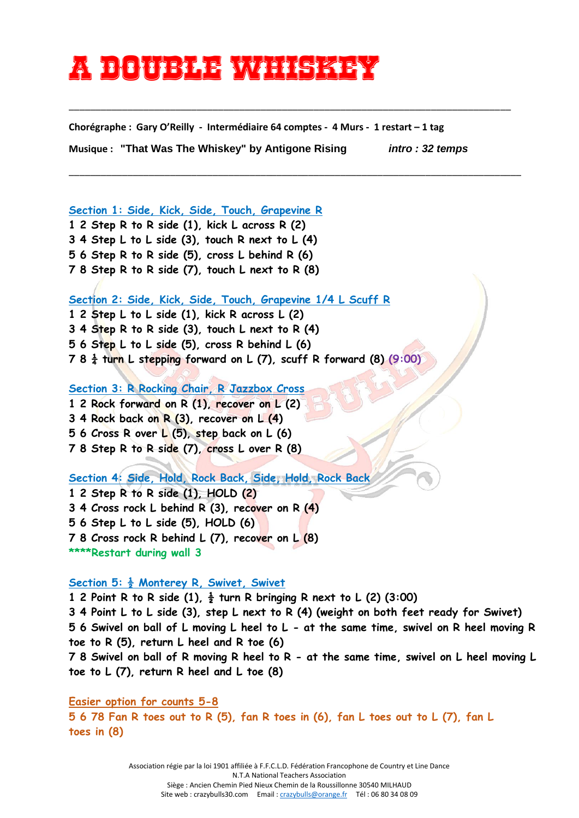## **A double whiskey**

**Chorégraphe : Gary O'Reilly - Intermédiaire 64 comptes - 4 Murs - 1 restart – 1 tag**

\_\_\_\_\_\_\_\_\_\_\_\_\_\_\_\_\_\_\_\_\_\_\_\_\_\_\_\_\_\_\_\_\_\_\_\_\_\_\_\_\_\_\_\_\_\_\_\_\_\_\_\_\_\_\_\_\_\_\_\_\_\_\_\_\_\_\_\_\_\_\_\_\_\_\_\_\_\_\_\_\_\_\_

\_\_\_\_\_\_\_\_\_\_\_\_\_\_\_\_\_\_\_\_\_\_\_\_\_\_\_\_\_\_\_\_\_\_\_\_\_\_\_\_\_\_\_\_\_\_\_\_\_\_\_\_\_\_\_\_\_\_\_\_\_\_\_\_\_\_\_\_\_\_\_\_\_\_\_\_\_\_\_\_\_\_\_\_\_

**Musique : "That Was The Whiskey" by Antigone Rising** *intro : 32 temps*

**Section 1: Side, Kick, Side, Touch, Grapevine R**

**1 2 Step R to R side (1), kick L across R (2)**

**3 4 Step L to L side (3), touch R next to L (4)**

**5 6 Step R to R side (5), cross L behind R (6)**

**7 8 Step R to R side (7), touch L next to R (8)**

**Section 2: Side, Kick, Side, Touch, Grapevine 1/4 L Scuff R**

**1 2 Step L to L side (1), kick R across L (2)**

**3 4 Step R to R side (3), touch L next to R (4)**

**5 6 Step L to L side (5), cross R behind L (6)**

**7 8 ¼ turn L stepping forward on L (7), scuff R forward (8) (9:00)**

**Section 3: R Rocking Chair, R Jazzbox Cross**

**1 2 Rock forward on R (1), recover on L (2) 3 4 Rock back on R (3), recover on L (4) 5 6 Cross R over L (5), step back on L (6) 7 8 Step R to R side (7), cross L over R (8)**

**Section 4: Side, Hold, Rock Back, Side, Hold, Rock Back**

**1 2 Step R to R side (1), HOLD (2)**

**3 4 Cross rock L behind R (3), recover on R (4)**

**5 6 Step L to L side (5), HOLD (6)**

**7 8 Cross rock R behind L (7), recover on L (8)** 

**\*\*\*\*Restart during wall 3**

**Section 5: ½ Monterey R, Swivet, Swivet**

**1 2 Point R to R side (1), ½ turn R bringing R next to L (2) (3:00)**

**3 4 Point L to L side (3), step L next to R (4) (weight on both feet ready for Swivet) 5 6 Swivel on ball of L moving L heel to L - at the same time, swivel on R heel moving R toe to R (5), return L heel and R toe (6)**

**7 8 Swivel on ball of R moving R heel to R - at the same time, swivel on L heel moving L toe to L (7), return R heel and L toe (8)**

**Easier option for counts 5-8 5 6 78 Fan R toes out to R (5), fan R toes in (6), fan L toes out to L (7), fan L toes in (8)**